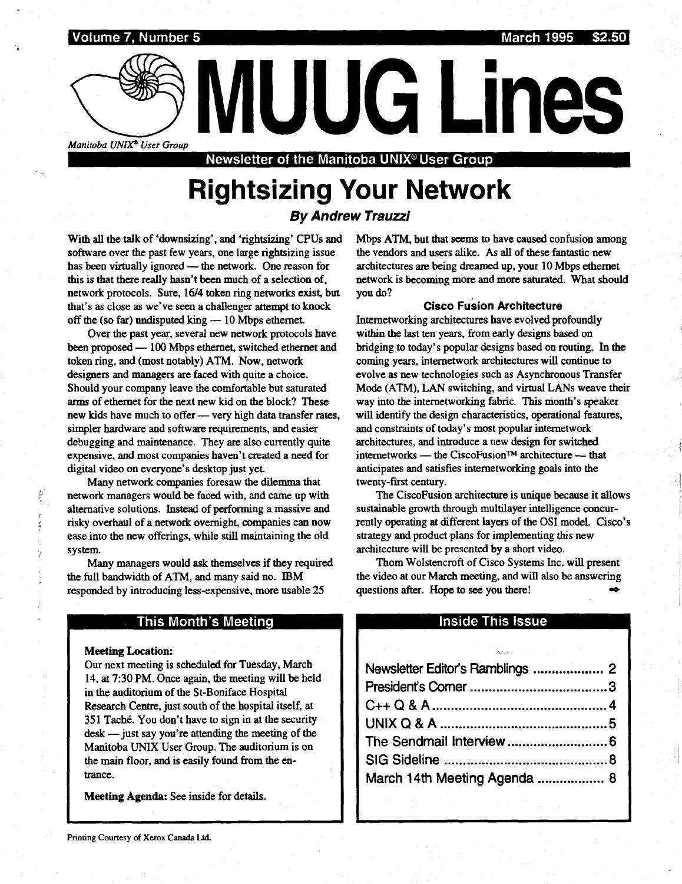Volume 7, Number 5 March 1995 \$2.50  $\frac{1}{2}$  Volume 2

Manitoba UNIX<sup>®</sup> User Group<br>Newsletter of the Manitoba UNIX® User Group

# Rightsizing Your Network

By Andrew Trauzzi

With all the talk of 'downsizing', and 'rightsizing' CPUs and software over the past few years, one large rightsizing issue has been virtually ignored — the network. One reason for this is that there really hasn't been much of a selection of . network protocols. Sure, 16/4 token ring networks exist, but that's as close as we've seen a challenger attempt to knock off the (so far) undisputed king  $-10$  Mbps ethernet.

Over the past year, several new network protocols have been proposed - 100 Mbps ethernet, switched ethernet and token ring, and (most notably) ATM. Now, network designers and managers are faced with quite a choice. Should your company leave the comfortable but saturated arms of ethernet for the next new kid on the block? These new kids have much to offer - very high data transfer rates, simpler hardware and software requirements, and easier debugging and maintenance. They are also currently quite expensive, and most companies haven't created a need for digital video on everyone's desktop just yet.

Many network companies foresaw the dilemma that network managers would be faced with, and came up with alternative solutions. Instead of performing a massive and risky overhaul of a network overnight, companies can now ease into the new offerings, while still maintaining the old system.

Many managers would ask themselves if they required the full bandwidth of ATM, and many said no. IBM responded by introducing less-expensive, more usable 25

#### This Month's Meeting

#### **Meeting Location:**

Our next meeting is scheduled for Tuesday, March 14, at 7:30 PM. Once again, the meeting will be held in the auditorium of the St-Boniface Hospital Research Centre, just south of the hospital itself, at 351 Tache. You don't have to sign in at the security  $\text{desk}$  — just say you're attending the meeting of the Manitoba UNIX User Group. The auditorium is on the main floor, and is easily found from the entrance.

Meeting Agenda: See inside for details.

Mbps ATM, but that seems to have caused confusion among the vendors and users alike. As all of these fantastic new architectures are being dreamed up, your 10 Mbps ethernet network is becoming more and more saturated. What should you do?

#### Cisco Fusion Architecture

Internetworking architectures have evolved profoundly within the last ten years, from early designs based on bridging to today's popular designs based on routing. In the coming years, internetwork architectures will continue to evolve as new technologies such as Asynchronous Transfer Mode (ATM), LAN switching, and virtual LANs weave their way into the internetworking fabric. This month's speaker will identify the design characteristics, operational features, and constraints of today's most popular internetwork architectures, and introduce a new design for switched internetworks - the CiscoFusion<sup>TM</sup> architecture - that anticipates and satisfies internetworking goals into the twenty-first century.

The CiscoFusion architecture is unique because it allows sustainable growth through multilayer intelligence concurrently operating at different layers of the OSI model. Cisco's strategy and product plans for implementing this new architecture will be presented by a short video.

#### Inside This Issue

| rchitecture will be presented by a short video.<br>Thom Wolstencroft of Cisco Systems Inc. will present<br>he video at our March meeting, and will also be answering<br>uestions after. Hope to see you there! |
|----------------------------------------------------------------------------------------------------------------------------------------------------------------------------------------------------------------|
| <b>Inside This Issue</b>                                                                                                                                                                                       |
| ing<br>Samuel Communication                                                                                                                                                                                    |
| Newsletter Editor's Ramblings  2                                                                                                                                                                               |
|                                                                                                                                                                                                                |
|                                                                                                                                                                                                                |
|                                                                                                                                                                                                                |
|                                                                                                                                                                                                                |
|                                                                                                                                                                                                                |
| March 14th Meeting Agenda  8                                                                                                                                                                                   |
|                                                                                                                                                                                                                |
|                                                                                                                                                                                                                |
|                                                                                                                                                                                                                |
|                                                                                                                                                                                                                |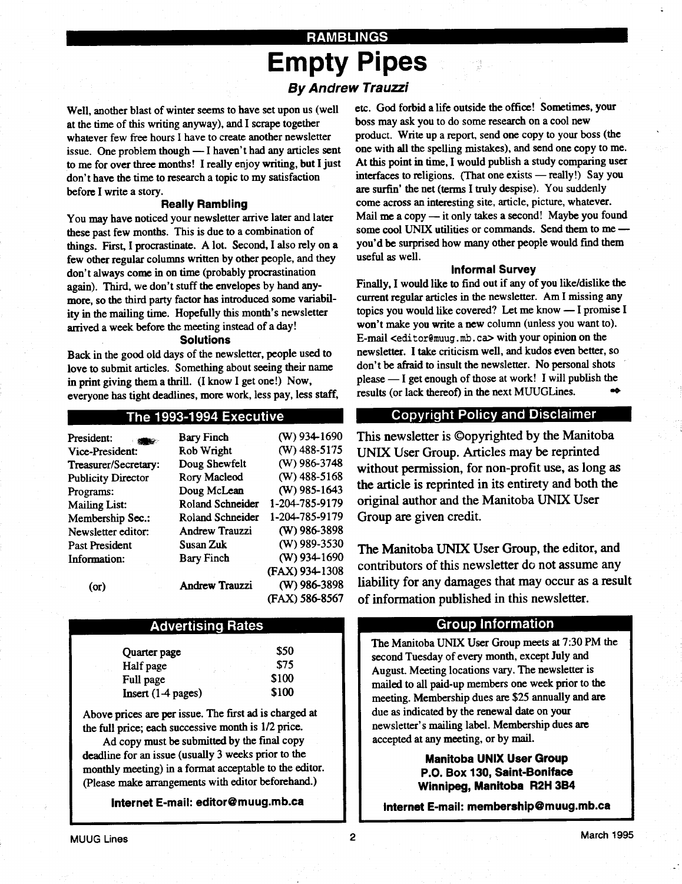### RAMBLINGS Empty Pipes By Andrew Trauzzi

Well, another blast of winter seems to have set upon us (well at the time of this writing anyway), and I scrape together whatever few free hours I have to create another newsletter issue. One problem though  $\equiv$  I haven't had any articles sent to me for over three months! I really enjoy writing, but I just don't have the time to research a topic to my satisfaction before I write a story.

 

#### Really Rambling

You may have noticed your newsletter arrive later and later these past few months. This is due to a combination of things. First, I procrastinate. A lot. Second, I also rely on a few other regular columns written by other people, and they don't always come in on time (probably procrastination again). Third, we don't stuff the envelopes by hand anymore, so the third party factor has introduced some variability in the mailing time. Hopefully this month's newsletter arrived a week before the meeting instead of a day!

#### Solutions

Back in the good old days of the newsletter, people used to love to submit articles. Something about seeing their name in print giving them a thrill. (I know I get one!) Now, everyone has tight deadlines, more work, less pay, less staff,

#### The 1993-1994 Executive

| <b>Bary Finch</b>     | $(W)$ 934-1690        |
|-----------------------|-----------------------|
| Rob Wright            | (W) 488-5175          |
| Doug Shewfelt         | (W) 986-3748          |
| Rory Macleod          | $(W)$ 488-5168        |
| Doug McLean           | $(W)$ 985-1643        |
| Roland Schneider      | 1-204-785-9179        |
| Roland Schneider      | 1-204-785-9179        |
| <b>Andrew Trauzzi</b> | (W) 986-3898          |
| Susan Zuk             | (W) 989-3530          |
| <b>Bary Finch</b>     | (W) 934-1690          |
|                       | (FAX) 934-1308        |
|                       | (W) 986-3898          |
|                       | (FAX) 586-8567        |
|                       | <b>Andrew Trauzzi</b> |

#### Advertising. Rates

| Quarter page         | \$50  |
|----------------------|-------|
| Half page            | \$75  |
| Full page            | \$100 |
| $Insert (1-4 pages)$ | \$100 |

Above prices are per issue. The first ad is charged at the full price; each successive month is  $1/2$  price.

Ad copy must be submitted by the final copy deadline for an issue (usually 3 weeks prior to the monthly meeting) in a format acceptable to the editor. (Please make arrangements with editor beforehand.)

Internet E-mail: editor@muug.mb.ca

etc. God forbid a life outside the office! Sometimes, your boss may ask you to do some research on a cool new product. Write up a report, send one copy to your boss (the one with all the spelling mistakes), and send one copy to me . At this point in time, I would publish a study comparing user interfaces to religions. (That one exists  $-$  really!) Say you are surfin' the net (terms I truly despise). You suddenly come across an interesting site, article, picture, whatever. Mail me a copy  $-$  it only takes a second! Maybe you found some cool UNIX utilities or commands. Send them to me you'd be surprised how many other people would find them useful as well.

#### Informal Survey

Finally, I would like to find out if any of you like/dislike the current regular articles in the newsletter. Am I missing any topics you would like covered? Let me know - I promise I won't make you write a new column (unless you want to). E-mail <editor@muug.mb.ca> with your opinion on the newsletter. I take criticism well, and kudos even better, so don't be afraid to insult the newsletter. No personal shots please  $-$  I get enough of those at work! I will publish the results (or lack thereof) in the next MUUGLines. results (or lack thereof) in the next MUUGLines.

#### Copyright Policy and Disclaimer

This newsletter is ©opyrighted by the Manitoba UNIX User Group . Articles may be reprinted without permission, for non-profit use, as long as the article is reprinted in its entirety and both the original author and the Manitoba UNIX User Group are given credit.

The Manitoba UNIX User Group, the editor, and contributors of this newsletter do not assume any liability for any damages that may occur as a result of information published in this newsletter.

#### Group Information

The Manitoba UNIX User Group meets at 7 :30 PM the second Tuesday of every month, except July and August. Meeting locations vary. The newsletter is mailed to all paid-up members one week prior to the meeting. Membership dues are \$25 annually and are due as indicated by the renewal date on your newsletter's mailing label. Membership dues are accepted at any meeting, or by mail.

#### Manitoba UNIX User Group P.O. Box 130, Saint-Boniface Winnipeg, Manitoba R2H 3B4

Internet E-mail: membership@muug.mb.ca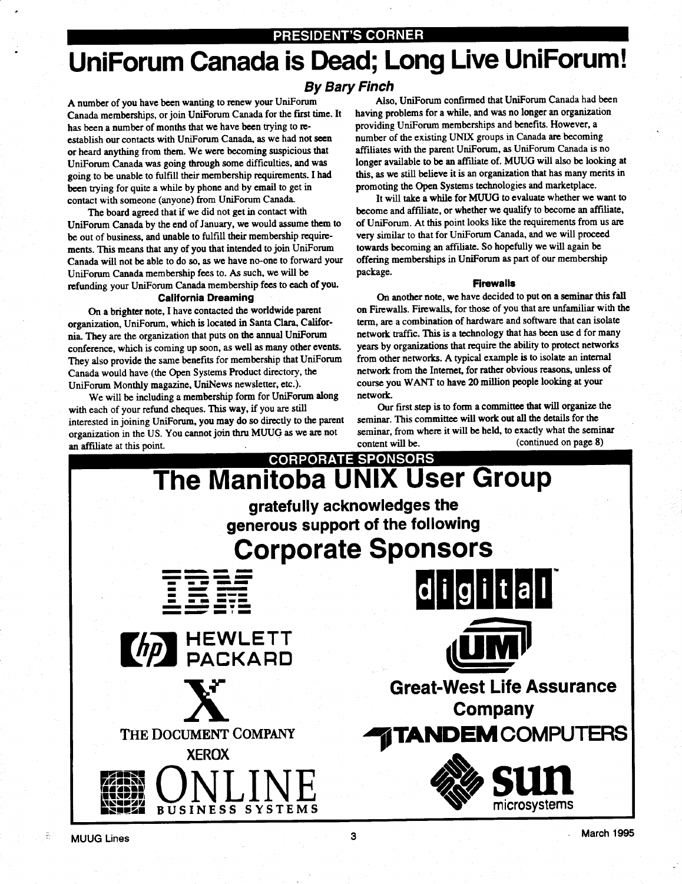# UniForum Canada is Dead; Long Live UniForum! and<br>Lini<br>Lini

#### By Bary Finch

A number of you have been wanting to renew your UniForum Canada memberships, or join UniForum Canada for the first time . It has been a number of months that we have been trying to reestablish our contacts with UniForum Canada, as we had not seen or heard anything from them. We were becoming suspicious that UniForum Canada was going through some difficulties, and was going to be unable to fulfill their membership requirements . I had been trying for quite a while by phone and by email to get in contact with someone (anyone) from UniForum Canada .

The board agreed that if we did not get in contact with UniForum Canada by the end of January, we would assume them to be out of business, and unable to fulfill their membership requirements. This means that any of you that intended to join UniForum Canada will not be able to do so, as we have no-one to forward your UniForum Canada membership fees to . As such, we will be refunding your UniForum Canada membership fees to each of you .

#### California Dreaming

On a brighter note, I have contacted the worldwide parent organization, UniForum, which is located in Santa Clara, California. They are the organization that puts on the annual UniForum conference, which is coming up soon, as well as many other events. They also provide the same benefits for membership that UniForum Canada would have (the Open Systems Product directory, the UniForum Monthly magazine, UniNews newsletter, etc.).

We will be including a membership form for UniForum along with each of your refund cheques. This way, if you are still interested in joining UniForum, you may do so directly to the parent organization in the US. You cannot join thru MUUG as we are not an affiliate at this point.

Also, UniForum confirmed that UniForum Canada had been having problems for a while, and was no longer an organization providing UniForum memberships and benefits . However, a number of the existing UNIX groups in Canada are becoming affiliates with the parent UniForum, as UniForum Canada is no longer available to be an affiliate of. MUUG will also be looking at this, as we still believe it is an organization that has many merits in promoting the Open Systems technologies and marketplace .

It will take a while for MUUG to evaluate whether we want to become and affiliate, or whether we qualify to become an affiliate, of UniForum . At this point looks like the requirements from us are very similar to that for UniForum Canada, and we will proceed towards becoming an affiliate. So hopefully we will again be offering memberships in UniForum as part of our membership package.

#### Firewalls

On another note, we have decided to put on a seminar this fall on Firewalls. Firewalls, for those of you that are unfamiliar with the term, are a combination of hardware and software that can isolate network traffic. This is a technology that has been use d for many years by organizations that require the ability to protect networks from other networks. A typical example is to isolate an internal network from the Internet, for rather obvious reasons, unless of course you WANT to have 20 million people looking at your network.

Our first step is to form a committee that will organize the seminar. This committee will work out all the details for the seminar, from where it will be held, to exactly what the seminar content will be. (continued on page 8)

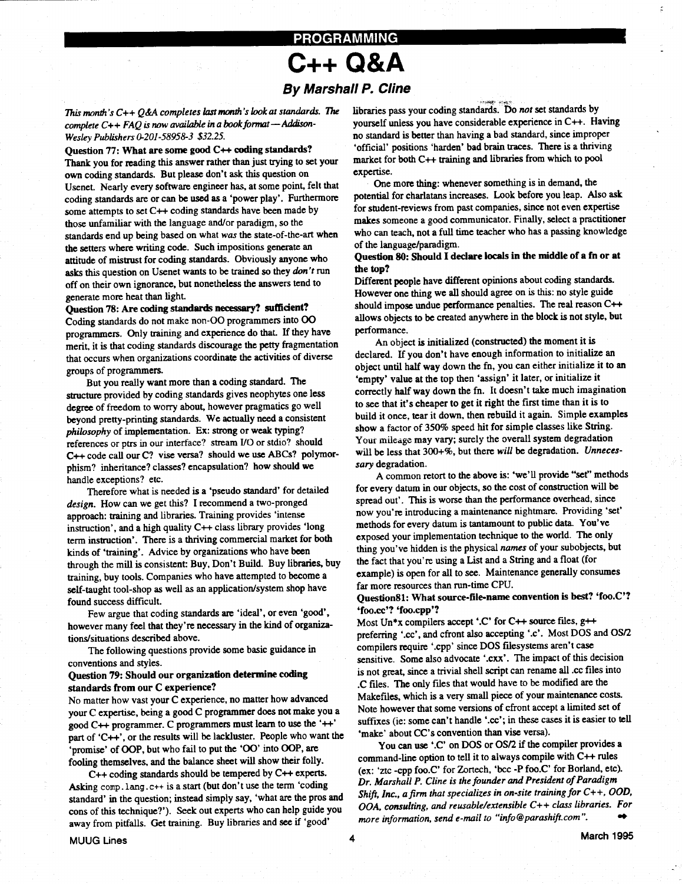### PROGRAMMING C++ O &A

# By Marshall P. Cline

This month's  $C++Q\&A$  completes last month's look at standards. The complete  $C++ FAQ$  is now available in a book format - Addison-Wesley Publishers 0-201-58958-3 \$32.25.

#### Question 77: What are some good C++ coding standards?

 

Thank you for reading this answer rather than just trying to set your own coding standards. But please don't ask this question on Usenet. Nearly every software engineer has, at some point, felt that coding standards are or can be used as a 'power play'. Furthermore some attempts to set C++ coding standards have been made by those unfamiliar with the language and/or paradigm, so the standards end up being based on what was the state-of-the-art when the setters where writing code. Such impositions generate an attitude of mistrust for coding standards. Obviously anyone who asks this question on Usenet wants to be trained so they don't run off on their own ignorance, but nonetheless the answers tend to generate more heat than light.

#### Question 78: Are coding standards necessary? sufficient?

Coding standards do not make non-00 programmers into 00 programmers. Only training and experience do that. If they have merit, it is that coding standards discourage the petty fragmentation that occurs when organizations coordinate the activities of diverse groups of programmers.

But you really want more than a coding standard. The structure provided by coding standards gives neophytes one less degree of freedom to worry about, however pragmatics go well beyond pretty-printing standards. We actually need a consistent philosophy of implementation. Ex: strong or weak typing? references or ptrs in our interface? stream U0 or stdio? should C++ code call our C? vise versa? should we use ABCs? polymorphism? inheritance? classes? encapsulation? how should we handle exceptions? etc.

Therefore what is needed is a 'pseudo standard' for detailed design. How can we get this? I recommend a two-pronged approach: training and libraries . Training provides 'intense instruction', and a high quality C++ class library provides 'long term instruction'. There is a thriving commercial market for both kinds of 'training'. Advice by organizations who have been through the mill is consistent: Buy, Don't Build. Buy libraries, buy training, buy tools . Companies who have attempted to become a self-taught tool-shop as well as an application/system shop have found success difficult.

Few argue that coding standards are 'ideal', or even 'good', however many feel that they're necessary in the kind of organizations/situations described above .

The following questions provide some basic guidance in conventions and styles .

#### Question 79: Should our organization determine coding standards from our C experience?

No matter how vast your C experience, no matter how advanced your C expertise, being a good C programmer does not make you a good C++ programmer. C programmers must learn to use the '++' part of 'C++', or the results will be lackluster. People who want the 'promise' of OOP, but who fail to put the '00' into OOP, are fooling themselves, and the balance sheet will show their folly.

C++ coding standards should be tempered by C++ experts. Asking comp . lang . c++ is a start (but don't use the term 'coding standard' in the question; instead simply say, 'what are the pros and cons of this technique?'). Seek out experts who can help guide you away from pitfalls. Get training. Buy libraries and see if 'good'

libraries pass your coding standards. Do not set standards by yourself unless you have considerable experience in C++. Having no standard is better than having a bad standard, since improper `official' positions 'harden' bad brain traces . There is a thriving market for both C++ training and libraries from which to pool expertise.

One more thing: whenever something is in demand, the potential for charlatans increases. Look before you leap. Also ask for student-reviews from past companies, since not even expertise makes someone a good communicator. Finally, select a practitioner who can teach, not a full time teacher who has a passing knowledge of the language/paradigm.

#### Question 80: Should I declare locals in the middle of a fn or at the top?

Different people have different opinions about coding standards . However one thing we all should agree on is this: no style guide should impose undue performance penalties. The real reason C++ allows objects to be created anywhere in the block is not style, but performance.

An object is initialized (constructed) the moment it is declared. If you don't have enough information to initialize an object until half way down the fn, you can either initialize it to an `empty' value at the top then 'assign' it later, or initialize it correctly half way down the fn. It doesn't take much imagination to see that it's cheaper to get it right the first time than it is to build it once, tear it down, then rebuild it again. Simple examples show a factor of 350% speed hit for simple classes like String. Your mileage may vary; surely the overall system degradation will be less that 300+%, but there will be degradation. Unnecessary degradation.

A common retort to the above is: 'we'll provide "set" methods for every datum in our objects, so the cost of construction will be spread out'. This is worse than the performance overhead, since now you're introducing a maintenance nightmare. Providing 'set' methods for every datum is tantamount to public data. You've exposed your implementation technique to the world. The only thing you've hidden is the physical names of your subobjects, but the fact that you're using a List and a String and a float (for example) is open for all to see . Maintenance generally consumes far more resources than run-time CPU.

#### Question81: What source-file-name convention is best? 'foo.C'? 'foo.cc'? 'foo.cpp'?

Most Un\*x compilers accept '.C' for C++ source files,  $g++$ preferring '.cc', and cfront also accepting '.c'. Most DOS and OS/2 compilers require '.cpp' since DOS filesystems aren't case sensitive. Some also advocate '.cxx'. The impact of this decision is not great, since a trivial shell script can rename all cc files into .C files. The only files that would have to be modified are the Makefiles, which is a very small piece of your maintenance costs . Note however that some versions of cfront accept a limited set of suffixes (ie: some can't handle '.cc'; in these cases it is easier to tell 'make' about CC's convention than vise versa).

You can use '.C' on DOS or OS/2 if the compiler provides a command-line option to tell it to always compile with C++ rules (ex: 'ztc -cpp foo.C' for Zortech, 'bcc -P foo.C' for Borland, etc). Dr. Marshall P. Cline is the founder and President of Paradigm Shift, Inc., a firm that specializes in on-site training for C++, OOD, OOA, consulting, and reusable/extensible C++ class libraries. For<br>more information, send e-mail to "info@parashift.com". more information, send e-mail to "info@parashift.com".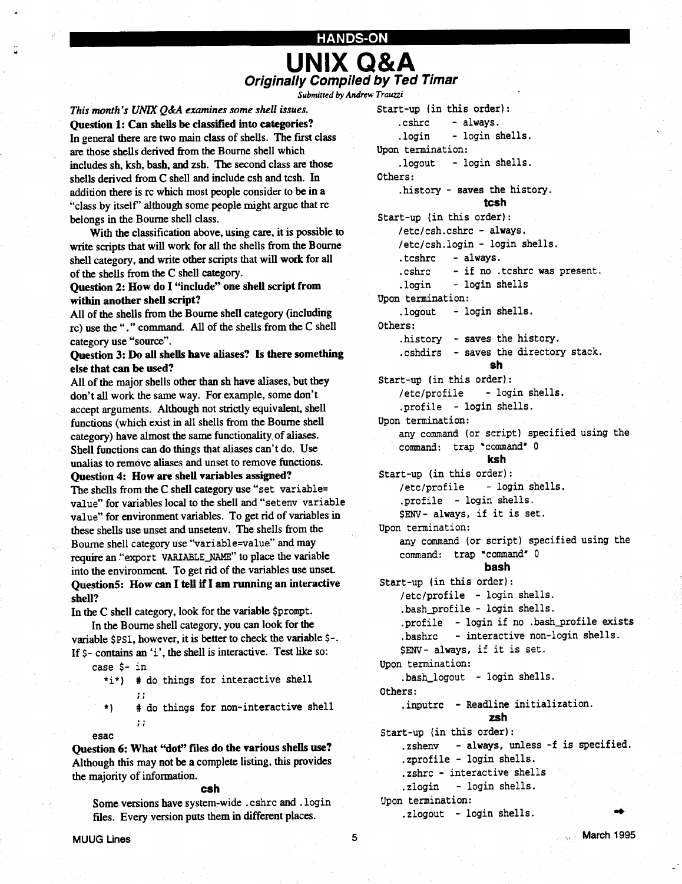# HANDS-ON UNIX Q&A **Originally Compiled by Ted Timar** TANDS-ON<br>
Criginally Compiled by Ted Timar<br>
This month's UNIX Q&A examines some shell issues.<br>
Ouestion 1: Can shells be classified into categories?<br>
... shrc - always.

Submitted by Andrew Trauzzi

This month's UNIX  $Q$ &A examines some shell issues. Question 1: Can shells be classified into categories? In general there are two main class of shells. The first class are those shells derived from the Bourne shell which includes sh, ksh, bash, and zsh. The second class are those shells derived from C shell and include csh and tcsh. In addition there is rc which most people consider to be in a "class by itself' although some people might argue that rc belongs in the Bourne shell class .

 

With the classification above, using care, it is possible to write scripts that will work for all the shells from the Bourne shell category, and write other scripts that will work for all of the shells from the C shell category .

#### Question 2: How do I "include" one shell script from within another shell script?

All of the shells from the Bourne shell category (including rc) use the "." command. All of the shells from the C shell category use "source".

#### Question 3: Do all shells have aliases? Is there something else that can be used?

All of the major shells other than sh have aliases, but they don't all work the same way. For example, some don't accept arguments. Although not strictly equivalent, shell functions (which exist in all shells from the Bourne shell category) have almost the same functionality, of aliases . Shell functions can do things that aliases can't do. Use unalias to remove aliases and unset to remove functions. Question 4: How are shell variables assigned?

The shells from the C shell category use "set variable= value" for variables local to the shell and "setenv variable value" for environment variables . To get rid of variables in these shells use unset and unsetenv. The shells from the Bourne shell category use "variable=value" and may require an "export VARIABLE-NAME" to place the variable into the environment. To get rid of the variables use unset. Question5: How can I tell if I am running an interactive shell?

In the C shell category, look for the variable \$prompt.

In the Bourne shell category, you can look for the variable \$PS1, however, it is better to check the variable \$-. If  $\zeta$ - contains an 'i', the shell is interactive. Test like so:

case \$- in

\*i\*) # do things for interactive shell  $\vdots$ 

# do things for non-interactive shell \*)  $\mathbf{1}$ 

Question 6: What "dot" files do the various shells use? Although this may not be a complete listing, this provides the majority of information.

#### csh

Some versions have system-wide . cshrc and . login files. Every version puts them in different places.

esac

Start-up (in this order):<br>.cshrc - always. .cshrc .login - login shells. Upon termination: .logout - login shells . Others : .history - saves the history . tcsh Start-up (in this order) : /etc/csh.cshrc - always. /etc/csh .login - login shells . .tcshrc - always . .cshrc - if no .tcshrc was present. .login - login shells Upon termination: .logout - login shells. Others : history – saves the history. .cshdirs - saves the directory stack. sh Start-up (in this order) : /etc/profile - login shells . .profile - login shells . Upon termination: any command (or script) specified using the command: trap "command" 0 ksh Start-up (in this order) : /etc/profile - login shells . .profile - login shells . \$ENV- always, if it is set . Upon termination: any command (or script) specified using the command: trap 'command' 0 bash Start-up (in this order) : /etc/profile - login shells . .bash\_profile - login shells . .profile - login if no .bash\_profile exists .bashrc - interactive non-login shells . \$ENV- always, if it is set . Upon termination: .bash\_logout - login shells. Others : .inputrc - Readline initialization. zsh Start-up (in this order) : .zshenv - always, unless -f is specified. .zprofile - login shells . .zshrc - interactive shells .zlogin - login shells . Upon termination: .zlogout - login shells .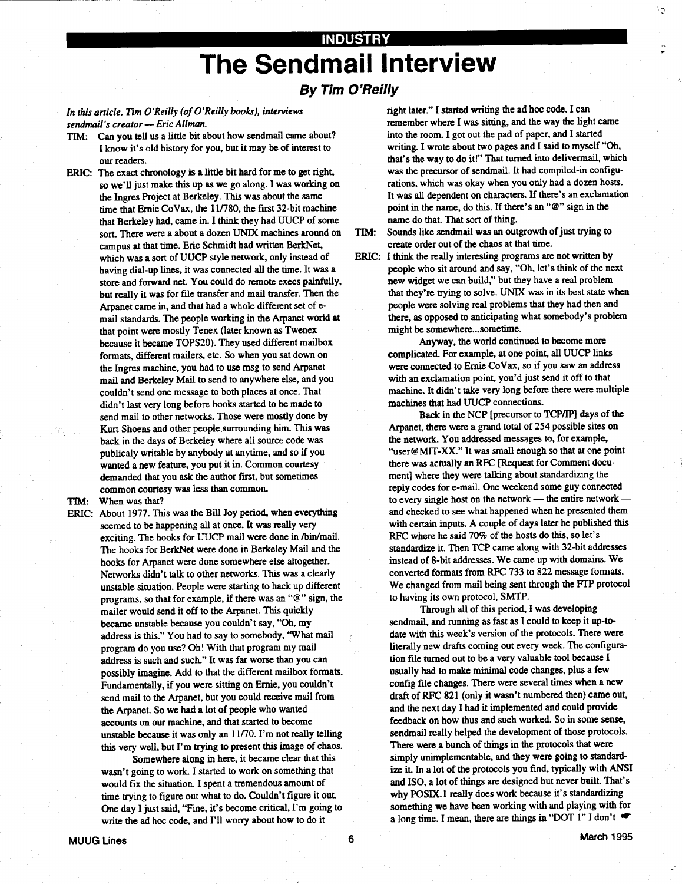## INDUSTRY The Sendmail Interview

#### By Tim O'Reilly

#### In this article, Tim O'Reilly (of O'Reilly books), interviews sendmail's creator - Eric Allman.

- TIM: Can you tell us a little bit about how sendmail came about? I know it's old history for you, but it may be of interest to our readers.
- ERIC: The exact chronology is a little bit hard for me to get right, so we'll just make this up as we go along . I was working on the Ingres Project at Berkeley. This was about the same time that Ernie CoVax, the 11/780, the first 32-bit machine that Berkeley had, came in. I think they had UUCP of some sort. There were a about a dozen UNIX machines around on campus at that time. Eric Schmidt had written BerkNet, which was a sort of UUCP style network, only instead of having dial-up lines, it was connected all the time. It was a store and forward net. You could do remote execs painfully, but really it was for file transfer and mail transfer . Then the Arpanet came in, and that had a whole different set of email standards . The people working in the Arpanet world at that point were mostly Tenex (later known as Twenex because it became TOPS20). They used different mailbox formats, different mailers, etc . So when you sat down on the Ingres machine, you had to use msg to send Arpanet mail and Berkeley Mail to send to anywhere else, and you couldn't send one message to both places at once . That didn't last very long before hooks started to be made to send mail to other networks. Those were mostly done by Kurt Shoens and other people surrounding him. This was back in the days of Berkeley where all source code was publicaly writable by anybody at anytime, and so if you wanted a new feature, you put it in. Common courtesy demanded that you ask the author first, but sometimes common courtesy was less than common.

TIM: When was that?

 

ERIC: About 1977. This was the Bill Joy period, when everything seemed to be happening all at once. It was really very exciting. The hooks for UUCP mail were done in /bin/mail . The hooks for BerkNet were done in Berkeley Mail and the hooks for Arpanet were done somewhere else altogether. Networks didn't talk to other networks . This was a clearly unstable situation. People were starting to hack up different programs, so that for example, if there was an "@" sign, the mailer would send it off to the Arpanet. This quickly became unstable because you couldn't say, "Oh, my address is this." You had to say to somebody, "What mail program do you use? Oh! With that program my mail address is such and such." It was far worse than you can possibly imagine. Add to that the different mailbox formats. Fundamentally, if you were sitting on Ernie, you couldn't send mail to the Arpanet, but you could receive mail from the Arpanet. So we had a lot of people who wanted accounts on our machine, and that started to become unstable because it was only an 11/70 . I'm not really telling this very well, but I'm trying to present this image of chaos.

> Somewhere along in here, it became clear that this wasn't going to work. I started to work on something that would fix the situation. I spent a tremendous amount of time trying to figure out what to do. Couldn't figure it out. One day I just said, "Fine, it's become critical, I'm going to write the ad hoc code, and I'll worry about how to do it

right later." I started writing the ad hoc code . I can remember where I was sitting, and the way the light came into the room. I got out the pad of paper, and I started writing. I wrote about two pages and I said to myself "Oh, that's the way to do it!" That turned into delivermail, which was the precursor of sendmail. It had compiled-in configurations, which was okay when you only had a dozen hosts. It was all dependent on characters. If there's an exclamation point in the name, do this. If there's an "@" sign in the name do that. That sort of thing.

۹

- TIM: Sounds like sendmail was an outgrowth of just trying to create order out of the chaos at that time.
- ERIC: I think the really interesting programs are not written by people who sit around and say, "Oh, let's think of the next new widget we can build," but they have a real problem that they're trying to solve. UNIX was in its best state when people were solving real problems that they had then and there, as opposed to anticipating what somebody's problem might be somewhere. ..sometime.

Anyway, the world continued to become more complicated. For example, at one point, all UUCP links were connected to Ernie CoVax, so if you saw an address with an exclamation point, you'd just send it off to that machine. It didn't take very long before there were multiple machines that had UUCP connections.

Back in the NCP [precursor to TCP/IP] days of the Arpanet, there were a grand total of 254 possible sites on the network. You addressed messages to, for example, "user@MIT-XX." It was small enough so that at one point there was actually an RFC [Request for Comment document] where they were talking about standardizing the reply codes for e-mail. One weekend some guy connected to every single host on the network - the entire network  $$ and checked to see what happened when he presented them with certain inputs. A couple of days later he published this RFC where he said 70% of the hosts do this, so let's standardize it. Then TCP came along with 32-bit addresses instead of 8-bit addresses . We came up with domains. We converted formats from RFC 733 to 822 message formats . We changed from mail being sent through the FTP protocol to having its own protocol, SMTP.

Through all of this period, I was developing sendmail, and running as fast as I could to keep it up-todate with this week's version of the protocols. There were literally new drafts coming out every week. The configuration file turned out to be a very valuable tool because I usually had to make minimal code changes, plus a few config file changes. There were several times when a new draft of RFC 821 (only it wasn't numbered then) came out, and the next day I had it implemented and could provide feedback on how thus and such worked. So in some sense, sendmail really helped the development of those protocols. There were a bunch of things in the protocols that were simply unimplementable, and they were going to standardize it. In a lot of the protocols you find, typically with ANSI and ISO, a lot of things are designed but never built. That's why POSIX.1 really does work because it's standardizing something we have been working with and playing with for a long time. I mean, there are things in "DOT 1" I don't  $\bullet$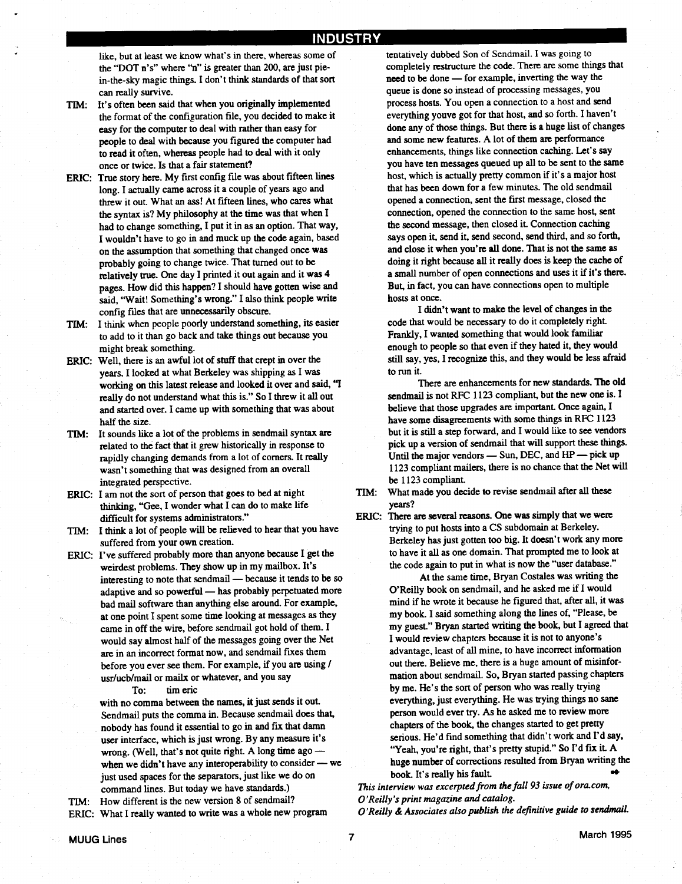#### INDUSTRY

like, but at least we know what's in there, whereas some of the "DOT n's" where "n" is greater than 200, are just piein-the-sky magic things . I don't think standards of that sort can really survive. 

- TIM: It's often been said that when you originally implemented the format of the configuration file, you decided to make it easy for the computer to deal with rather than easy for people to deal with because you figured the computer had to read it often, whereas people had to deal with it only once or twice. Is that a fair statement?
- ERIC: True story here. My first config file was about fifteen lines long. I actually came across it a couple of years ago and threw it out. What an ass! At fifteen lines, who cares what the syntax is? My philosophy at the time was that when I had to change something, I put it in as an option. That way, I wouldn't have to go in and muck up the code again, based on the assumption that something that changed once was probably going to change twice . That turned out to be relatively true. One day I printed it out again and it was 4 pages. How did this happen? I should have gotten wise and said, "Wait! Something's wrong ." I also think people write config files that are unnecessarily obscure .
- TIM: I think when people poorly understand something, its easier to add to it than go back and take things out because you might break something.
- ERIC: Well, there is an awful lot of stuff that crept in over the years. I looked at what Berkeley was shipping as I was working on this latest release and looked it over and said, "I really do not understand what this is." So I threw it all out and started over. I came up with something that was about half the size.
- TIM: It sounds like a lot of the problems in sendmail syntax are related to the fact that it grew historically in response to rapidly changing demands from a lot of corners. It really wasn't something that was designed from an overall integrated perspective.
- ERIC: I am not the sort of person that goes to bed at night thinking, "Gee, I wonder what I can do to make life difficult for systems administrators ."
- TIM: I think a lot of people will be relieved to hear that you have suffered from your own creation.
- ERIC: I've suffered probably more than anyone because I get the weirdest problems. They show up in my mailbox. It's interesting to note that sendmail - because it tends to be so adaptive and so powerful - has probably perpetuated more bad mail software than anything else around. For example, at one point I spent some time looking at messages as they came in off the wire, before sendmail got hold of them. I would say almost half of the messages going over the Net are in an incorrect format now, and sendmail fixes them before you ever see them. For example, if you are using / usr/ucb/mail or mailx or whatever, and you say

To: tim eric

with no comma between the names, it just sends it out. Sendmail puts the comma in. Because sendmail does that, nobody has found it essential to go in and fix that damn user interface, which is just wrong. By any measure it's wrong. (Well, that's not quite right. A long time ago -when we didn't have any interoperability to consider - we just used spaces for the separators, just like we do on command lines. But today we have standards.)

TIM: How different is the new version 8 of sendmail? ERIC: What I really wanted to write was a whole new program

tentatively dubbed Son of Sendmail . I was going to completely restructure the code. There are some things that need to be done - for example, inverting the way the queue is done so instead of processing messages, you process hosts. You open a connection to a host and send everything youve got for that host, and so forth. I haven't done any of those things. But there is a huge list of changes and some new features. A lot of them are performance enhancements, things like connection caching. Let's say you have ten messages queued up all to be sent to the same host, which is actually pretty common if it's a major host that has been down for a few minutes. The old sendmail opened a connection, sent the first message, closed the connection, opened the connection to the same host, sent the second message, then closed it. Connection caching says open it, send it, send second, send third, and so forth, and close it when you're all done. That is not the same as doing it right because all it really does is keep the cache of a small number of open connections and uses it if it's there. But, in fact, you can have connections open to multiple hosts at once.

I didn't want to make the level of changes in the code that would be necessary to do it completely right Frankly, I wanted something that would look familiar enough to people so that even if they hated it, they would still say, yes, I recognize this, and they would be less afraid to run it.

There are enhancements for new standards. The old sendmail is not RFC 1123 compliant, but the new one is . I believe that those upgrades are important. Once again, I have some disagreements with some things in RFC 1123 but it is still a step forward, and I would like to see vendors pick up a version of sendmail that will support these things. Until the major vendors  $-$  Sun, DEC, and  $HP$   $-$  pick up 1123 compliant mailers, there is no chance that the Net will be 1123 compliant

- TIM: What made you decide to revise sendmail after all these years?
- ERIC: There are several reasons. One was simply that we were trying to put hosts into a CS subdomain at Berkeley . Berkeley has just gotten too big. It doesn't work any more to have it all as one domain. That prompted me to look at the code again to put in what is now the "user database."

At the same time, Bryan Costales was writing the O'Reilly book on sendmail, and he asked me if I would mind if he wrote it because he figured that, after all, it was my book. I said something along the lines of, "Please, be my guest." Bryan started writing the book, but I agreed that I would review chapters because it is not to anyone's advantage, least of all mine, to have incorrect information out there. Believe me, there is a huge amount of misinformation about sendmail . So, Bryan started passing chapters by me. He's the sort of person who was really trying everything, just everything. He was trying things no sane person would ever try. As he asked me to review more chapters of the book, the changes started to get pretty serious. He'd find something that didn't work and I'd say, "Yeah, you're right, that's pretty stupid." So I'd fix it. A huge number of corrections resulted from Bryan writing the book. It's really his fault.

This interview was excerpted from the fall 93 issue of ora .com, O'Reilly's print magazine and catalog.

O'Reilly & Associates also publish the definitive guide to sendmail .